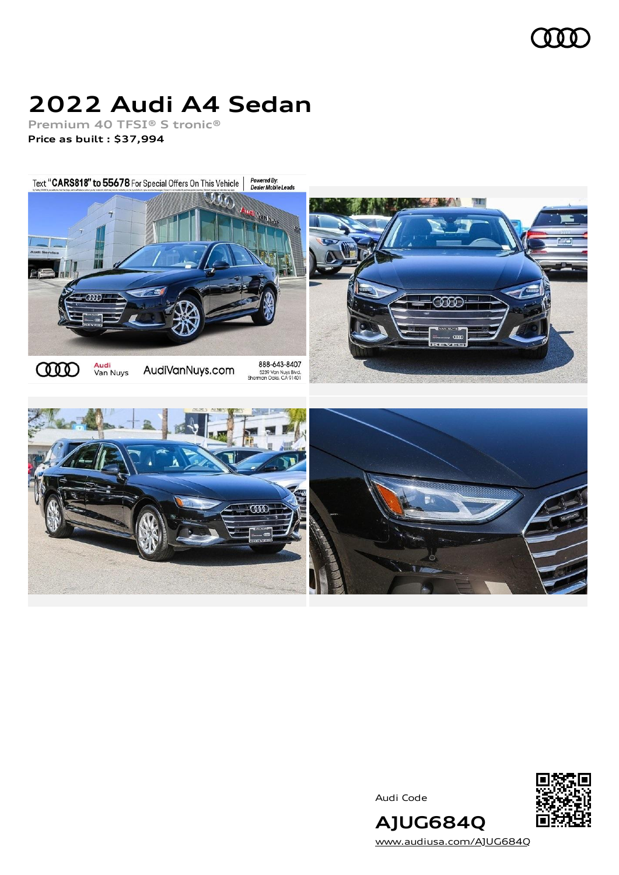

# **2022 Audi A4 Sedan**

**Premium 40 TFSI® S tronic® Price as built [:](#page-10-0) \$37,994**

Powered By:<br>Dealer Mobile Leads Text "CARS818" to 55678 For Special Offers On This Vehicle







[www.audiusa.com/AJUG684Q](https://www.audiusa.com/AJUG684Q)

**AJUG684Q**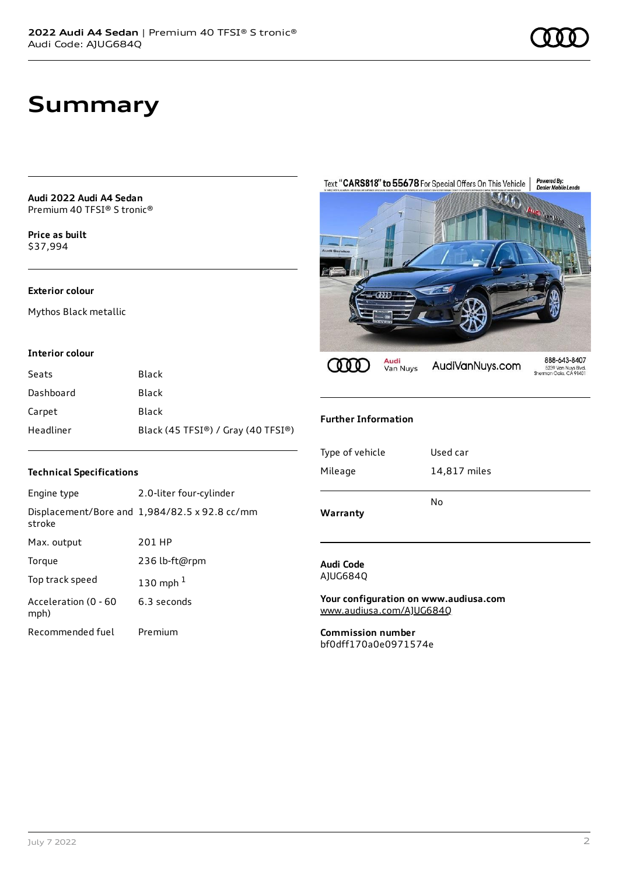# **Summary**

#### **Audi 2022 Audi A4 Sedan** Premium 40 TFSI® S tronic®

**Price as buil[t](#page-10-0)** \$37,994

### **Exterior colour**

Mythos Black metallic

#### **Interior colour**

| Seats     | <b>Black</b>                       |
|-----------|------------------------------------|
| Dashboard | Black                              |
| Carpet    | Black                              |
| Headliner | Black (45 TFSI®) / Gray (40 TFSI®) |

### **Technical Specifications**

| Engine type                  | 2.0-liter four-cylinder                              |
|------------------------------|------------------------------------------------------|
| stroke                       | Displacement/Bore and $1,984/82.5 \times 92.8$ cc/mm |
| Max. output                  | 201 HP                                               |
| Torque                       | 236 lb-ft@rpm                                        |
| Top track speed              | 130 mph $1$                                          |
| Acceleration (0 - 60<br>mph) | 6.3 seconds                                          |
| Recommended fuel             | Premium                                              |



### **Further Information**

| Warranty        | No           |  |
|-----------------|--------------|--|
| Mileage         | 14,817 miles |  |
| Type of vehicle | Used car     |  |
|                 |              |  |

#### **Audi Code** AJUG684Q

**Your configuration on www.audiusa.com** [www.audiusa.com/AJUG684Q](https://www.audiusa.com/AJUG684Q)

**Commission number** bf0dff170a0e0971574e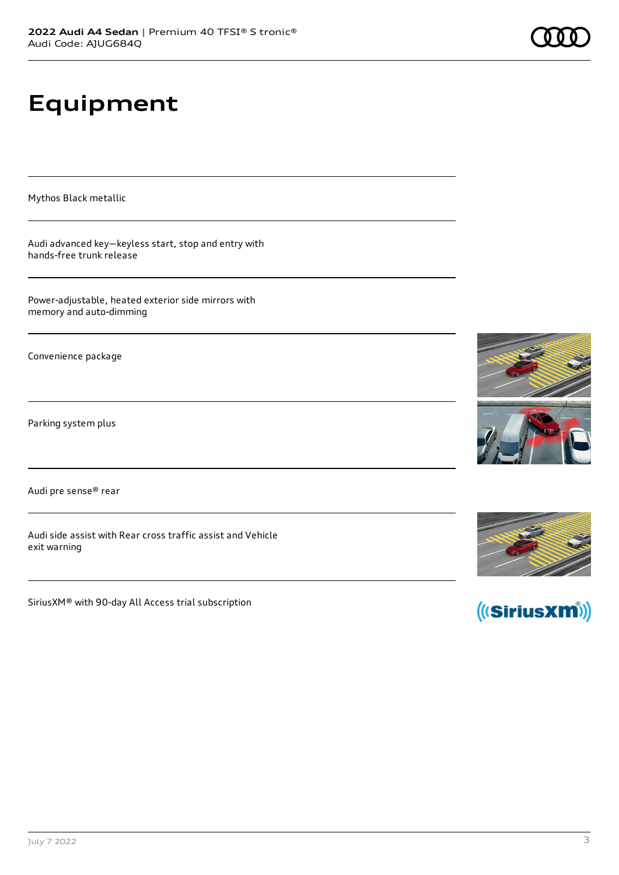# **Equipment**

Mythos Black metallic

Audi advanced key—keyless start, stop and entry with hands-free trunk release

Power-adjustable, heated exterior side mirrors with memory and auto-dimming

Convenience package

Parking system plus

Audi pre sense® rear

Audi side assist with Rear cross traffic assist and Vehicle exit warning

SiriusXM® with 90-day All Access trial subscription







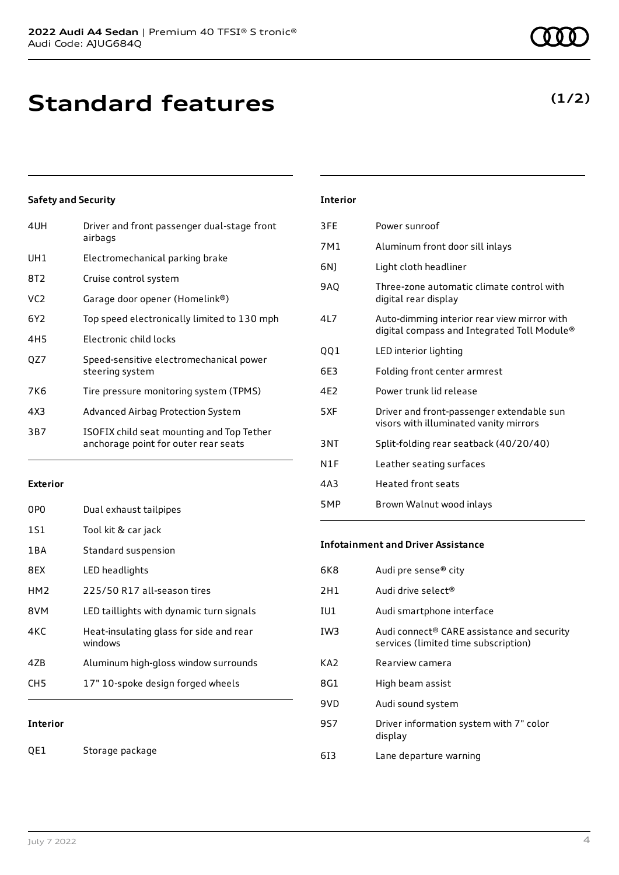# **Standard features**

## **Safety and Security**

| 4UH             | Driver and front passenger dual-stage front<br>airbags                            |
|-----------------|-----------------------------------------------------------------------------------|
| UH1             | Electromechanical parking brake                                                   |
| 8T <sub>2</sub> | Cruise control system                                                             |
| VC <sub>2</sub> | Garage door opener (Homelink®)                                                    |
| 6Y2             | Top speed electronically limited to 130 mph                                       |
| 4H <sub>5</sub> | Electronic child locks                                                            |
| QZ7             | Speed-sensitive electromechanical power<br>steering system                        |
| 7K6             | Tire pressure monitoring system (TPMS)                                            |
| 4X3             | Advanced Airbag Protection System                                                 |
| 3B7             | ISOFIX child seat mounting and Top Tether<br>anchorage point for outer rear seats |
|                 |                                                                                   |

### **Exterior**

| <b>Interior</b> |                                                    |
|-----------------|----------------------------------------------------|
| CH <sub>5</sub> | 17" 10-spoke design forged wheels                  |
| 47B             | Aluminum high-gloss window surrounds               |
| 4KC             | Heat-insulating glass for side and rear<br>windows |
| 8VM             | LED taillights with dynamic turn signals           |
| HM <sub>2</sub> | 225/50 R17 all-season tires                        |
| 8EX             | LED headlights                                     |
| 1 B A           | Standard suspension                                |
| 1S1             | Tool kit & car jack                                |
| 0P <sub>0</sub> | Dual exhaust tailpipes                             |

#### **Interior**

QE1 Storage package

### **Interior**

| 3FF             | Power sunroof                                                                              |
|-----------------|--------------------------------------------------------------------------------------------|
| 7M1             | Aluminum front door sill inlays                                                            |
| 6N)             | Light cloth headliner                                                                      |
| 9AQ             | Three-zone automatic climate control with<br>digital rear display                          |
| 417             | Auto-dimming interior rear view mirror with<br>digital compass and Integrated Toll Module® |
| QQ1             | LED interior lighting                                                                      |
| 6E3             | Folding front center armrest                                                               |
| 4F <sub>2</sub> | Power trunk lid release                                                                    |
| 5XF             | Driver and front-passenger extendable sun<br>visors with illuminated vanity mirrors        |
| 3NT             | Split-folding rear seatback (40/20/40)                                                     |
| N1F             | Leather seating surfaces                                                                   |
| 4A3             | <b>Heated front seats</b>                                                                  |
| 5 M P           | Brown Walnut wood inlays                                                                   |

#### **Infotainment and Driver Assistance**

| 6K8 | Audi pre sense <sup>®</sup> city                                                   |
|-----|------------------------------------------------------------------------------------|
| 2H1 | Audi drive select <sup>®</sup>                                                     |
| IU1 | Audi smartphone interface                                                          |
| IW3 | Audi connect® CARE assistance and security<br>services (limited time subscription) |
| KA2 | Rearview camera                                                                    |
| 8G1 | High beam assist                                                                   |
| 9VD | Audi sound system                                                                  |
| 9S7 | Driver information system with 7" color<br>display                                 |
| 613 | Lane departure warning                                                             |
|     |                                                                                    |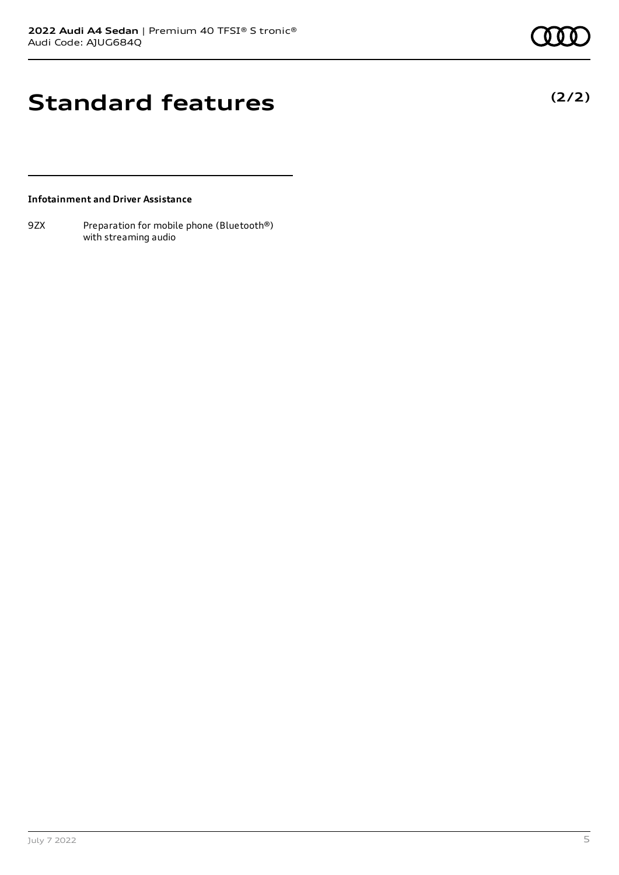**(2/2)**

# **Standard features**

### **Infotainment and Driver Assistance**

9ZX Preparation for mobile phone (Bluetooth®) with streaming audio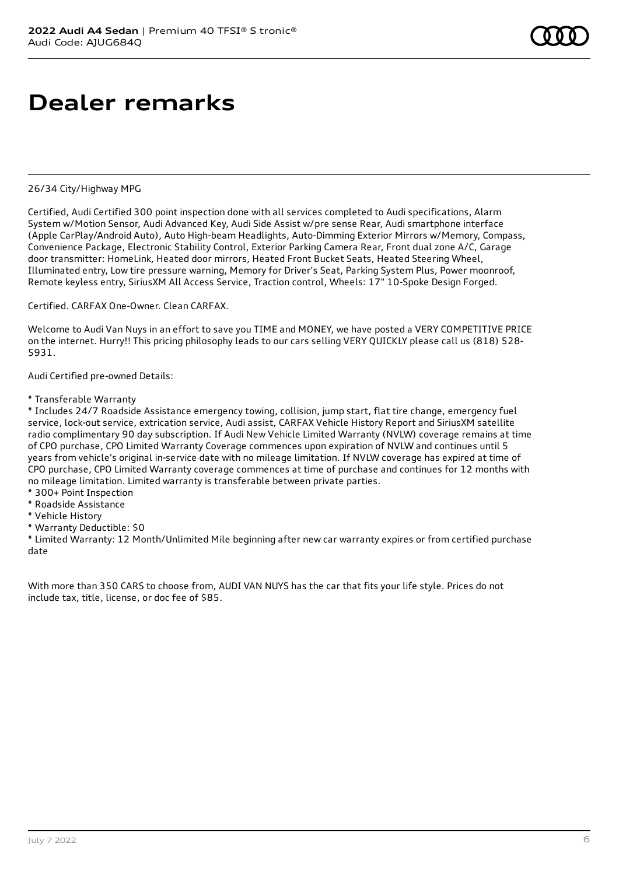# **Dealer remarks**

#### 26/34 City/Highway MPG

Certified, Audi Certified 300 point inspection done with all services completed to Audi specifications, Alarm System w/Motion Sensor, Audi Advanced Key, Audi Side Assist w/pre sense Rear, Audi smartphone interface (Apple CarPlay/Android Auto), Auto High-beam Headlights, Auto-Dimming Exterior Mirrors w/Memory, Compass, Convenience Package, Electronic Stability Control, Exterior Parking Camera Rear, Front dual zone A/C, Garage door transmitter: HomeLink, Heated door mirrors, Heated Front Bucket Seats, Heated Steering Wheel, Illuminated entry, Low tire pressure warning, Memory for Driver's Seat, Parking System Plus, Power moonroof, Remote keyless entry, SiriusXM All Access Service, Traction control, Wheels: 17" 10-Spoke Design Forged.

Certified. CARFAX One-Owner. Clean CARFAX.

Welcome to Audi Van Nuys in an effort to save you TIME and MONEY, we have posted a VERY COMPETITIVE PRICE on the internet. Hurry!! This pricing philosophy leads to our cars selling VERY QUICKLY please call us (818) 528- 5931.

Audi Certified pre-owned Details:

\* Transferable Warranty

\* Includes 24/7 Roadside Assistance emergency towing, collision, jump start, flat tire change, emergency fuel service, lock-out service, extrication service, Audi assist, CARFAX Vehicle History Report and SiriusXM satellite radio complimentary 90 day subscription. If Audi New Vehicle Limited Warranty (NVLW) coverage remains at time of CPO purchase, CPO Limited Warranty Coverage commences upon expiration of NVLW and continues until 5 years from vehicle's original in-service date with no mileage limitation. If NVLW coverage has expired at time of CPO purchase, CPO Limited Warranty coverage commences at time of purchase and continues for 12 months with no mileage limitation. Limited warranty is transferable between private parties.

- \* 300+ Point Inspection
- \* Roadside Assistance
- \* Vehicle History
- \* Warranty Deductible: \$0

\* Limited Warranty: 12 Month/Unlimited Mile beginning after new car warranty expires or from certified purchase date

With more than 350 CARS to choose from, AUDI VAN NUYS has the car that fits your life style. Prices do not include tax, title, license, or doc fee of \$85.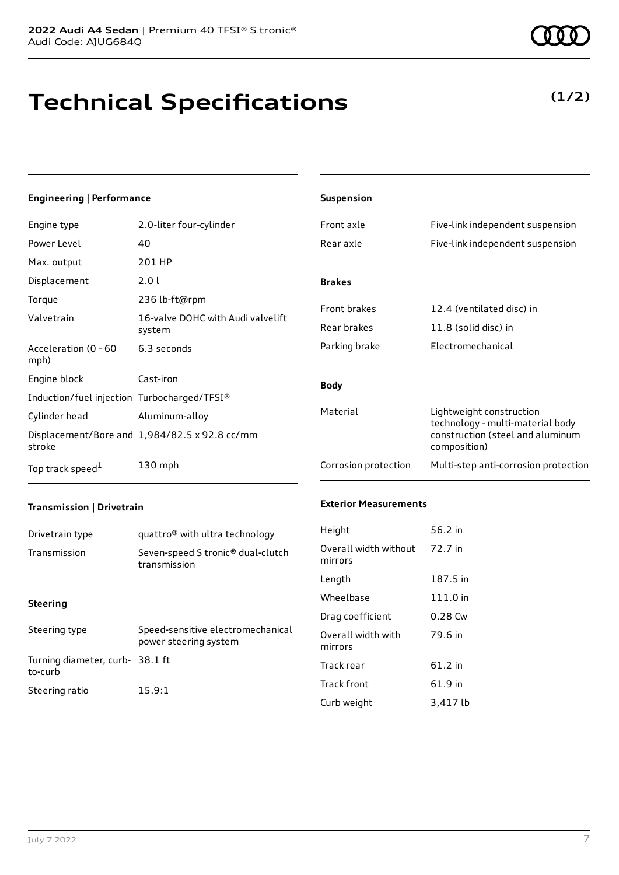# **Technical Specifications**

### **Engineering | Performance**

| Engine type                                 | 2.0-liter four-cylinder                              |
|---------------------------------------------|------------------------------------------------------|
| Power Level                                 | 40                                                   |
| Max. output                                 | 201 HP                                               |
| Displacement                                | 2.0 L                                                |
| Torque                                      | 236 lb-ft@rpm                                        |
| Valvetrain                                  | 16-valve DOHC with Audi valvelift<br>system          |
| Acceleration (0 - 60<br>mph)                | 6.3 seconds                                          |
| Engine block                                | Cast-iron                                            |
| Induction/fuel injection Turbocharged/TFSI® |                                                      |
| Cylinder head                               | Aluminum-alloy                                       |
| stroke                                      | Displacement/Bore and $1,984/82.5 \times 92.8$ cc/mm |
| Top track speed <sup>1</sup>                | $130$ mph                                            |

| <b>Suspension</b>     |                                                                                                                  |
|-----------------------|------------------------------------------------------------------------------------------------------------------|
| Front axle            | Five-link independent suspension                                                                                 |
| Rear axle             | Five-link independent suspension                                                                                 |
| <b>Brakes</b>         |                                                                                                                  |
| <b>Front brakes</b>   | 12.4 (ventilated disc) in                                                                                        |
| Rear brakes           | 11.8 (solid disc) in                                                                                             |
| Parking brake         | Electromechanical                                                                                                |
| <b>Body</b>           |                                                                                                                  |
| Material              | Lightweight construction<br>technology - multi-material body<br>construction (steel and aluminum<br>composition) |
| Corrosion protection  | Multi-step anti-corrosion protection                                                                             |
| Exterior Measurements |                                                                                                                  |

## **Transmission | Drivetrain**

| Drivetrain type | quattro <sup>®</sup> with ultra technology                    |
|-----------------|---------------------------------------------------------------|
| Transmission    | Seven-speed S tronic <sup>®</sup> dual-clutch<br>transmission |

#### **Steering**

| Steering type                             | Speed-sensitive electromechanical<br>power steering system |
|-------------------------------------------|------------------------------------------------------------|
| Turning diameter, curb-38.1 ft<br>to-curb |                                                            |
| Steering ratio                            | 15.9:1                                                     |

#### **Exterior Measurements**

| Height                           | 56.2 in  |
|----------------------------------|----------|
| Overall width without<br>mirrors | 72.7 in  |
| Length                           | 187.5 in |
| Wheelbase                        | 111.0 in |
| Drag coefficient                 | 0.28 Cw  |
| Overall width with<br>mirrors    | 79.6 in  |
| Track rear                       | 61.2 in  |
| <b>Track front</b>               | 61.9 in  |
| Curb weight                      | 3,417 lb |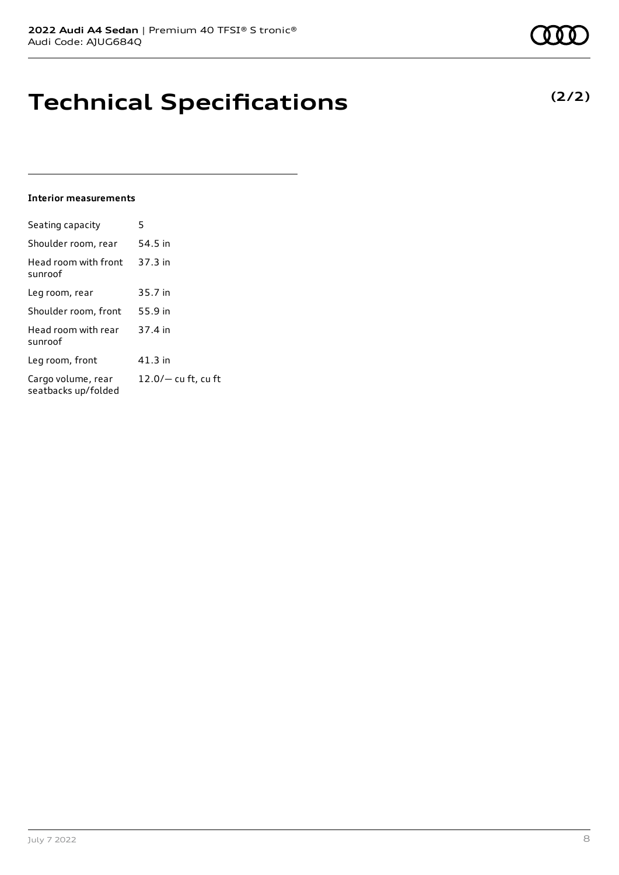# **Technical Specifications**

#### **Interior measurements**

| Seating capacity                          | 5                   |
|-------------------------------------------|---------------------|
| Shoulder room, rear                       | 54.5 in             |
| Head room with front<br>sunroof           | 37.3 in             |
| Leg room, rear                            | 35.7 in             |
| Shoulder room, front                      | 55.9 in             |
| Head room with rear<br>sunroof            | 37.4 in             |
| Leg room, front                           | 41.3 in             |
| Cargo volume, rear<br>seatbacks up/folded | 12.0/- cu ft, cu ft |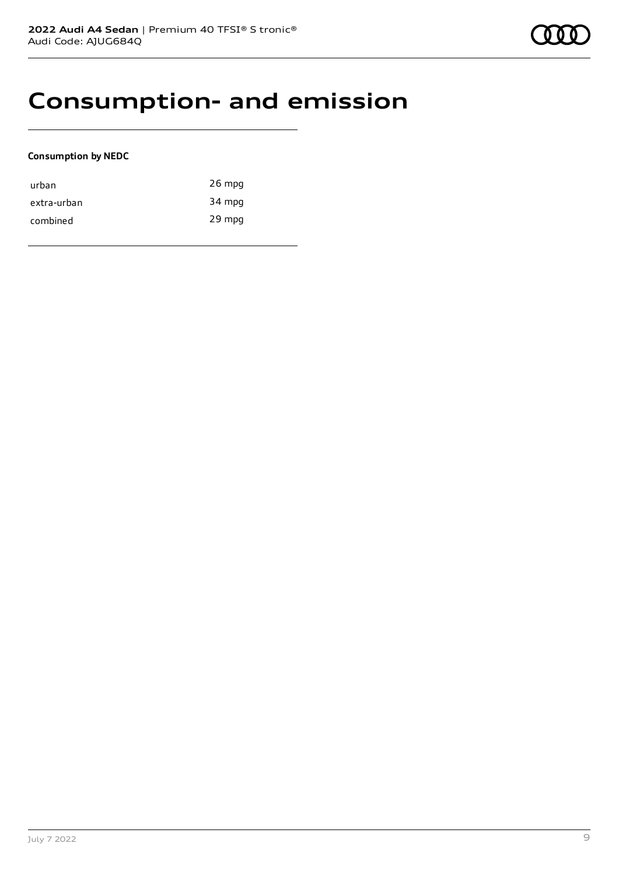# **Consumption- and emission**

### **Consumption by NEDC**

| urban       | 26 mpg |
|-------------|--------|
| extra-urban | 34 mpg |
| combined    | 29 mpg |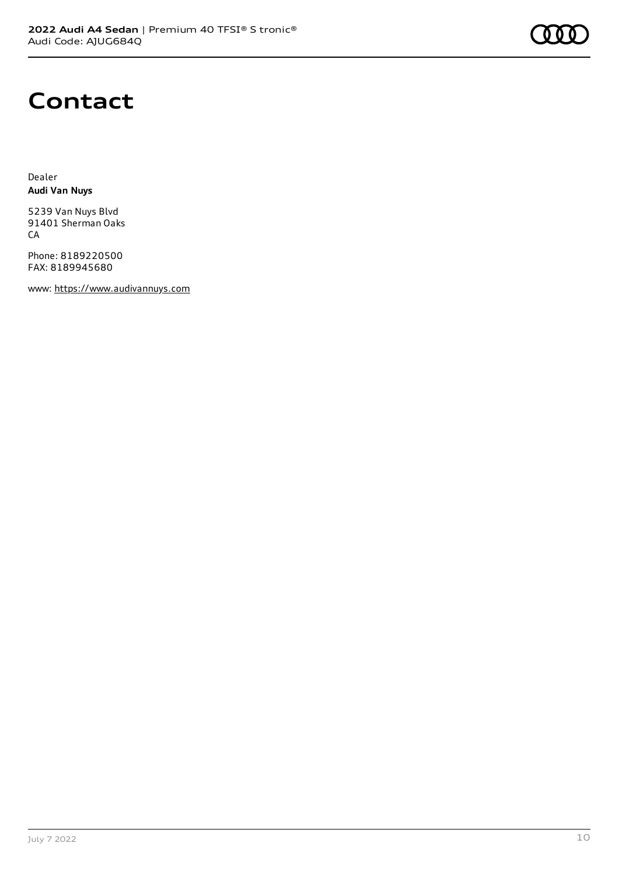

# **Contact**

Dealer **Audi Van Nuys**

5239 Van Nuys Blvd 91401 Sherman Oaks CA

Phone: 8189220500 FAX: 8189945680

www: [https://www.audivannuys.com](https://www.audivannuys.com/)